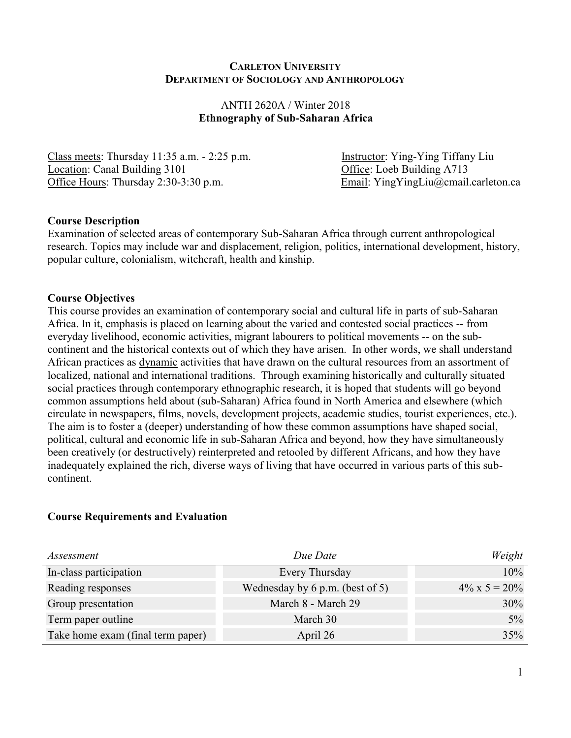#### **CARLETON UNIVERSITY DEPARTMENT OF SOCIOLOGY AND ANTHROPOLOGY**

### ANTH 2620A / Winter 2018 **Ethnography of Sub-Saharan Africa**

Class meets: Thursday 11:35 a.m. - 2:25 p.m. Instructor: Ying-Ying Tiffany Liu Location: Canal Building 3101 Office: Loeb Building A713 Office Hours: Thursday 2:30-3:30 p.m. Email: YingYingLiu@cmail.carleton.ca

### **Course Description**

Examination of selected areas of contemporary Sub-Saharan Africa through current anthropological research. Topics may include war and displacement, religion, politics, international development, history, popular culture, colonialism, witchcraft, health and kinship.

### **Course Objectives**

This course provides an examination of contemporary social and cultural life in parts of sub-Saharan Africa. In it, emphasis is placed on learning about the varied and contested social practices -- from everyday livelihood, economic activities, migrant labourers to political movements -- on the subcontinent and the historical contexts out of which they have arisen. In other words, we shall understand African practices as dynamic activities that have drawn on the cultural resources from an assortment of localized, national and international traditions. Through examining historically and culturally situated social practices through contemporary ethnographic research, it is hoped that students will go beyond common assumptions held about (sub-Saharan) Africa found in North America and elsewhere (which circulate in newspapers, films, novels, development projects, academic studies, tourist experiences, etc.). The aim is to foster a (deeper) understanding of how these common assumptions have shaped social, political, cultural and economic life in sub-Saharan Africa and beyond, how they have simultaneously been creatively (or destructively) reinterpreted and retooled by different Africans, and how they have inadequately explained the rich, diverse ways of living that have occurred in various parts of this subcontinent.

#### **Course Requirements and Evaluation**

| Assessment                        | Due Date                          | Weight                |
|-----------------------------------|-----------------------------------|-----------------------|
| In-class participation            | Every Thursday                    | 10%                   |
| Reading responses                 | Wednesday by $6$ p.m. (best of 5) | $4\% \times 5 = 20\%$ |
| Group presentation                | March 8 - March 29                | 30%                   |
| Term paper outline                | March 30                          | $5\%$                 |
| Take home exam (final term paper) | April 26                          | 35%                   |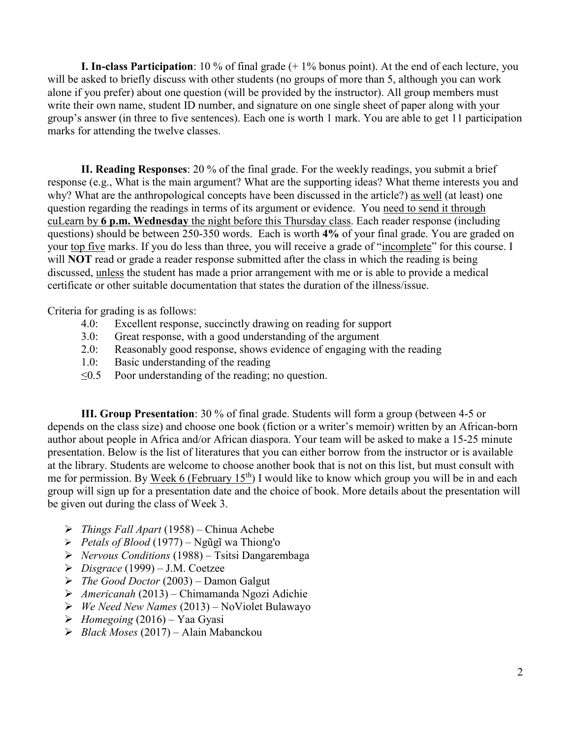**I. In-class Participation**: 10 % of final grade (+ 1% bonus point). At the end of each lecture, you will be asked to briefly discuss with other students (no groups of more than 5, although you can work alone if you prefer) about one question (will be provided by the instructor). All group members must write their own name, student ID number, and signature on one single sheet of paper along with your group's answer (in three to five sentences). Each one is worth 1 mark. You are able to get 11 participation marks for attending the twelve classes.

**II. Reading Responses**: 20 % of the final grade. For the weekly readings, you submit a brief response (e.g., What is the main argument? What are the supporting ideas? What theme interests you and why? What are the anthropological concepts have been discussed in the article?) as well (at least) one question regarding the readings in terms of its argument or evidence. You need to send it through cuLearn by **6 p.m. Wednesday** the night before this Thursday class. Each reader response (including questions) should be between 250-350 words. Each is worth **4%** of your final grade. You are graded on your top five marks. If you do less than three, you will receive a grade of "incomplete" for this course. I will **NOT** read or grade a reader response submitted after the class in which the reading is being discussed, unless the student has made a prior arrangement with me or is able to provide a medical certificate or other suitable documentation that states the duration of the illness/issue.

Criteria for grading is as follows:

- 4.0: Excellent response, succinctly drawing on reading for support
- 3.0: Great response, with a good understanding of the argument
- 2.0: Reasonably good response, shows evidence of engaging with the reading
- 1.0: Basic understanding of the reading
- $\leq 0.5$  Poor understanding of the reading; no question.

**III. Group Presentation**: 30 % of final grade. Students will form a group (between 4-5 or depends on the class size) and choose one book (fiction or a writer's memoir) written by an African-born author about people in Africa and/or African diaspora. Your team will be asked to make a 15-25 minute presentation. Below is the list of literatures that you can either borrow from the instructor or is available at the library. Students are welcome to choose another book that is not on this list, but must consult with me for permission. By Week 6 (February  $15<sup>th</sup>$ ) I would like to know which group you will be in and each group will sign up for a presentation date and the choice of book. More details about the presentation will be given out during the class of Week 3.

- ➢ *Things Fall Apart* (1958) Chinua Achebe
- ➢ *Petals of Blood* (1977) [Ngũgĩ wa Thiong'o](https://en.wikipedia.org/wiki/Ng%C5%A9g%C4%A9_wa_Thiong%27o)
- ➢ *Nervous Conditions* (1988) Tsitsi Dangarembaga
- ➢ *Disgrace* (1999) J.M. Coetzee
- ➢ *The Good Doctor* (2003) Damon Galgut
- ➢ *Americanah* (2013) Chimamanda Ngozi Adichie
- ➢ *We Need New Names* (2013) NoViolet Bulawayo
- ➢ *Homegoing* (2016) Yaa Gyasi
- ➢ *Black Moses* (2017) Alain Mabanckou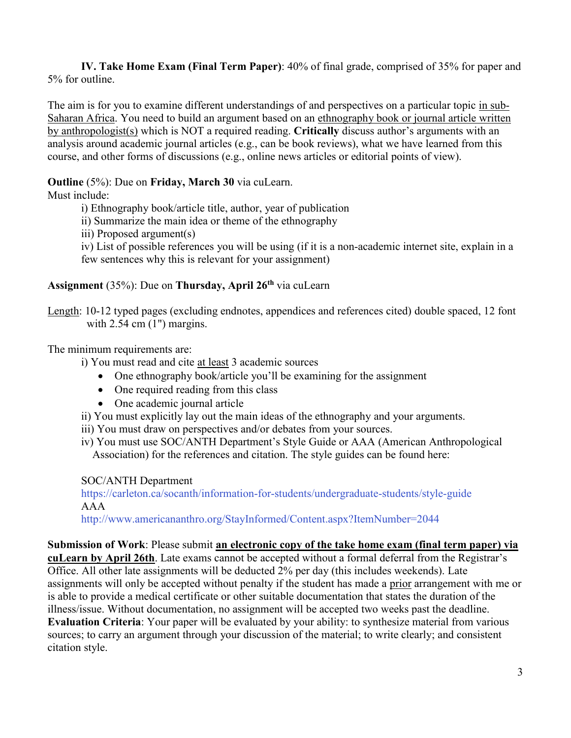**IV. Take Home Exam (Final Term Paper)**: 40% of final grade, comprised of 35% for paper and 5% for outline.

The aim is for you to examine different understandings of and perspectives on a particular topic in sub-Saharan Africa. You need to build an argument based on an ethnography book or journal article written by anthropologist(s) which is NOT a required reading. **Critically** discuss author's arguments with an analysis around academic journal articles (e.g., can be book reviews), what we have learned from this course, and other forms of discussions (e.g., online news articles or editorial points of view).

## **Outline** (5%): Due on **Friday, March 30** via cuLearn.

Must include:

citation style.

i) Ethnography book/article title, author, year of publication

ii) Summarize the main idea or theme of the ethnography

iii) Proposed argument(s)

iv) List of possible references you will be using (if it is a non-academic internet site, explain in a few sentences why this is relevant for your assignment)

## **Assignment** (35%): Due on **Thursday, April 26th** via cuLearn

Length: 10-12 typed pages (excluding endnotes, appendices and references cited) double spaced, 12 font with  $2.54$  cm  $(1")$  margins.

### The minimum requirements are:

i) You must read and cite at least 3 academic sources

- One ethnography book/article you'll be examining for the assignment
- One required reading from this class
- One academic journal article
- ii) You must explicitly lay out the main ideas of the ethnography and your arguments.
- iii) You must draw on perspectives and/or debates from your sources.

iv) You must use SOC/ANTH Department's Style Guide or AAA (American Anthropological Association) for the references and citation. The style guides can be found here:

SOC/ANTH Department

<https://carleton.ca/socanth/information-for-students/undergraduate-students/style-guide> AAA

<http://www.americananthro.org/StayInformed/Content.aspx?ItemNumber=2044>

**Submission of Work**: Please submit **an electronic copy of the take home exam (final term paper) via cuLearn by April 26th**. Late exams cannot be accepted without a formal deferral from the Registrar's Office. All other late assignments will be deducted 2% per day (this includes weekends). Late assignments will only be accepted without penalty if the student has made a prior arrangement with me or is able to provide a medical certificate or other suitable documentation that states the duration of the illness/issue. Without documentation, no assignment will be accepted two weeks past the deadline. **Evaluation Criteria**: Your paper will be evaluated by your ability: to synthesize material from various sources; to carry an argument through your discussion of the material; to write clearly; and consistent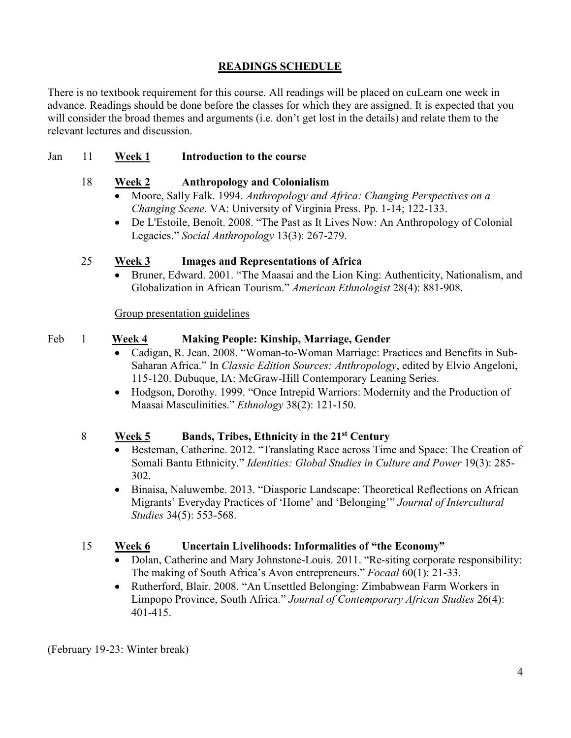# **READINGS SCHEDULE**

There is no textbook requirement for this course. All readings will be placed on cuLearn one week in advance. Readings should be done before the classes for which they are assigned. It is expected that you will consider the broad themes and arguments (i.e. don't get lost in the details) and relate them to the relevant lectures and discussion.

## Jan 11 **Week 1 Introduction to the course**

## 18 **Week 2 Anthropology and Colonialism**

- Moore, Sally Falk. 1994. *Anthropology and Africa: Changing Perspectives on a Changing Scene*. VA: University of Virginia Press. Pp. 1-14; 122-133.
- [De L'Estoile,](https://journals-scholarsportal-info.proxy.library.carleton.ca/search?q=Beno%C3%AEt%20De%20L%27Estoile&search_in=AUTHOR&sub=) Benoît. 2008. "The Past as It Lives Now: An Anthropology of Colonial Legacies." *Social Anthropology* 13(3): 267-279.

## 25 **Week 3 Images and Representations of Africa**

• Bruner, Edward. 2001. "The Maasai and the Lion King: Authenticity, Nationalism, and Globalization in African Tourism." *American Ethnologist* 28(4): 881-908.

Group presentation guidelines

### Feb 1 **Week 4 Making People: Kinship, Marriage, Gender**

- Cadigan, R. Jean. 2008. "Woman-to-Woman Marriage: Practices and Benefits in Sub-Saharan Africa." In *Classic Edition Sources: Anthropology*, edited by Elvio Angeloni, 115-120. Dubuque, IA: McGraw-Hill Contemporary Leaning Series.
- Hodgson, Dorothy. 1999. "Once Intrepid Warriors: Modernity and the Production of Maasai Masculinities." *Ethnology* 38(2): 121-150.

## 8 **Week 5 Bands, Tribes, Ethnicity in the 21st Century**

- Besteman, Catherine. 2012. "Translating Race across Time and Space: The Creation of Somali Bantu Ethnicity." *Identities: Global Studies in Culture and Power* 19(3): 285- 302.
- Binaisa, Naluwembe. 2013. "Diasporic Landscape: Theoretical Reflections on African Migrants' Everyday Practices of 'Home' and 'Belonging'" *Journal of Intercultural Studies* 34(5): 553-568.

## 15 **Week 6 Uncertain Livelihoods: Informalities of "the Economy"**

- Dolan, Catherine and Mary Johnstone-Louis. 2011. "Re-siting corporate responsibility: The making of South Africa's Avon entrepreneurs." *Focaal* 60(1): 21-33.
- Rutherford, Blair. 2008. "An Unsettled Belonging: Zimbabwean Farm Workers in Limpopo Province, South Africa." *Journal of Contemporary African Studies* 26(4): 401-415.

(February 19-23: Winter break)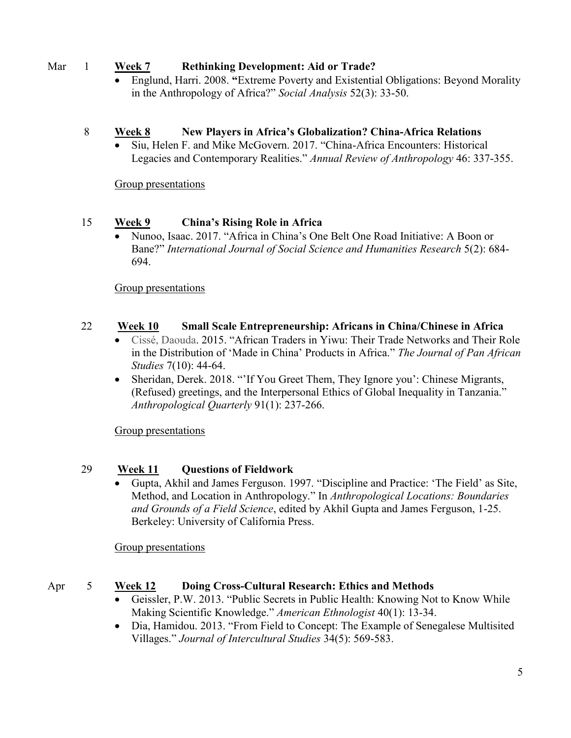## Mar 1 **Week 7 Rethinking Development: Aid or Trade?**

• Englund, Harri. 2008. **"**Extreme Poverty and Existential Obligations: Beyond Morality in the Anthropology of Africa?" *Social Analysis* 52(3): 33-50.

## 8 **Week 8 New Players in Africa's Globalization? China-Africa Relations**

• Siu, Helen F. and Mike McGovern. 2017. "China-Africa Encounters: Historical Legacies and Contemporary Realities." *Annual Review of Anthropology* 46: 337-355.

Group presentations

# 15 **Week 9 China's Rising Role in Africa**

• Nunoo, Isaac. 2017. "Africa in China's One Belt One Road Initiative: A Boon or Bane?" *International Journal of Social Science and Humanities Research* 5(2): 684- 694.

Group presentations

# 22 **Week 10 Small Scale Entrepreneurship: Africans in China/Chinese in Africa**

- Cissé, Daouda. 2015. "African Traders in Yiwu: Their Trade Networks and Their Role in the Distribution of 'Made in China' Products in Africa." *The Journal of Pan African Studies* 7(10): 44-64.
- Sheridan, Derek. 2018. "'If You Greet Them, They Ignore you': Chinese Migrants, (Refused) greetings, and the Interpersonal Ethics of Global Inequality in Tanzania." *Anthropological Quarterly* 91(1): 237-266.

Group presentations

# 29 **Week 11 Questions of Fieldwork**

• Gupta, Akhil and James Ferguson. 1997. "Discipline and Practice: 'The Field' as Site, Method, and Location in Anthropology." In *Anthropological Locations: Boundaries and Grounds of a Field Science*, edited by Akhil Gupta and James Ferguson, 1-25. Berkeley: University of California Press.

Group presentations

## Apr 5 **Week 12 Doing Cross-Cultural Research: Ethics and Methods**

- Geissler, P.W. 2013. "Public Secrets in Public Health: Knowing Not to Know While Making Scientific Knowledge." *American Ethnologist* 40(1): 13-34.
- Dia, Hamidou. 2013. "From Field to Concept: The Example of Senegalese Multisited Villages." *Journal of Intercultural Studies* 34(5): 569-583.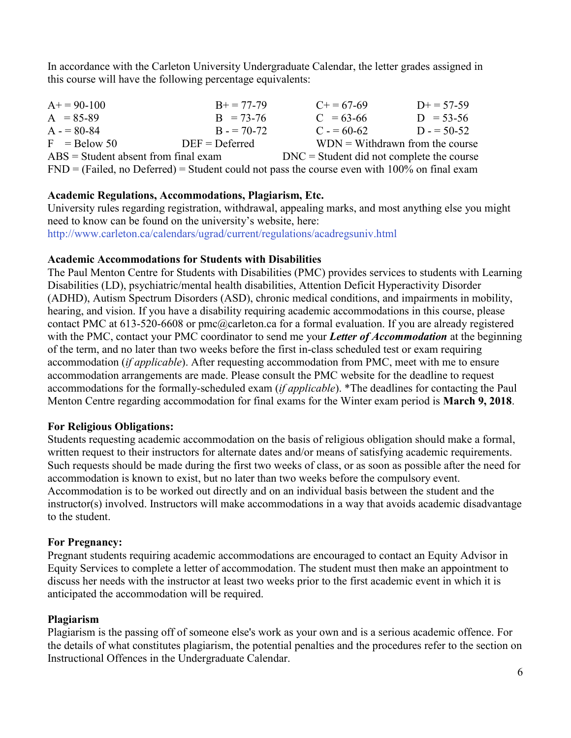In accordance with the Carleton University Undergraduate Calendar, the letter grades assigned in this course will have the following percentage equivalents:

| $A+=90-100$                                                                                    | $B+=77-79$       | $C_{+} = 67-69$                             | $D+=57-59$                                         |  |
|------------------------------------------------------------------------------------------------|------------------|---------------------------------------------|----------------------------------------------------|--|
| $A = 85-89$                                                                                    | $B = 73-76$      | $C = 63-66$                                 | $D = 53-56$                                        |  |
| $A = 80-84$                                                                                    | $B = 70-72$      | $C = 60-62$                                 | $D = 50-52$                                        |  |
| $F =$ Below 50                                                                                 | $DEF = Deferred$ |                                             | $WDN = Withoutmathbb{W}$ withdrawn from the course |  |
| $\text{ABS} = \text{Student absent from final exam}$                                           |                  | $DNC = Student$ did not complete the course |                                                    |  |
| $FND = (Failed, no Deferred) = Student could not pass the course even with 100% on final exam$ |                  |                                             |                                                    |  |

## **Academic Regulations, Accommodations, Plagiarism, Etc.**

University rules regarding registration, withdrawal, appealing marks, and most anything else you might need to know can be found on the university's website, here:

<http://www.carleton.ca/calendars/ugrad/current/regulations/acadregsuniv.html>

### **Academic Accommodations for Students with Disabilities**

The Paul Menton Centre for Students with Disabilities (PMC) provides services to students with Learning Disabilities (LD), psychiatric/mental health disabilities, Attention Deficit Hyperactivity Disorder (ADHD), Autism Spectrum Disorders (ASD), chronic medical conditions, and impairments in mobility, hearing, and vision. If you have a disability requiring academic accommodations in this course, please contact PMC at 613-520-6608 or [pmc@carleton.ca](mailto:pmc@carleton.ca) for a formal evaluation. If you are already registered with the PMC, contact your PMC coordinator to send me your *Letter of Accommodation* at the beginning of the term, and no later than two weeks before the first in-class scheduled test or exam requiring accommodation (*if applicable*). After requesting accommodation from PMC, meet with me to ensure accommodation arrangements are made. Please consult the PMC website for the deadline to request accommodations for the formally-scheduled exam (*if applicable*). \*The deadlines for contacting the Paul Menton Centre regarding accommodation for final exams for the Winter exam period is **March 9, 2018**.

## **For Religious Obligations:**

Students requesting academic accommodation on the basis of religious obligation should make a formal, written request to their instructors for alternate dates and/or means of satisfying academic requirements. Such requests should be made during the first two weeks of class, or as soon as possible after the need for accommodation is known to exist, but no later than two weeks before the compulsory event. Accommodation is to be worked out directly and on an individual basis between the student and the instructor(s) involved. Instructors will make accommodations in a way that avoids academic disadvantage to the student.

## **For Pregnancy:**

Pregnant students requiring academic accommodations are encouraged to contact an Equity Advisor in Equity Services to complete a letter of accommodation. The student must then make an appointment to discuss her needs with the instructor at least two weeks prior to the first academic event in which it is anticipated the accommodation will be required.

## **Plagiarism**

Plagiarism is the passing off of someone else's work as your own and is a serious academic offence. For the details of what constitutes plagiarism, the potential penalties and the procedures refer to the section on Instructional Offences in the Undergraduate Calendar.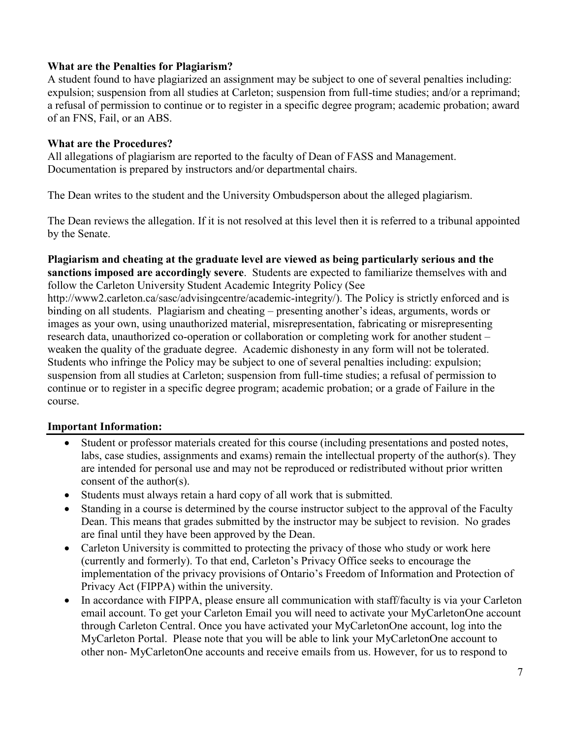## **What are the Penalties for Plagiarism?**

A student found to have plagiarized an assignment may be subject to one of several penalties including: expulsion; suspension from all studies at Carleton; suspension from full-time studies; and/or a reprimand; a refusal of permission to continue or to register in a specific degree program; academic probation; award of an FNS, Fail, or an ABS.

## **What are the Procedures?**

All allegations of plagiarism are reported to the faculty of Dean of FASS and Management. Documentation is prepared by instructors and/or departmental chairs.

The Dean writes to the student and the University Ombudsperson about the alleged plagiarism.

The Dean reviews the allegation. If it is not resolved at this level then it is referred to a tribunal appointed by the Senate.

#### **Plagiarism and cheating at the graduate level are viewed as being particularly serious and the sanctions imposed are accordingly severe**. Students are expected to familiarize themselves with and follow the Carleton University Student Academic Integrity Policy (See

http://www2.carleton.ca/sasc/advisingcentre/academic-integrity/). The Policy is strictly enforced and is binding on all students. Plagiarism and cheating – presenting another's ideas, arguments, words or images as your own, using unauthorized material, misrepresentation, fabricating or misrepresenting research data, unauthorized co-operation or collaboration or completing work for another student – weaken the quality of the graduate degree. Academic dishonesty in any form will not be tolerated. Students who infringe the Policy may be subject to one of several penalties including: expulsion; suspension from all studies at Carleton; suspension from full-time studies; a refusal of permission to continue or to register in a specific degree program; academic probation; or a grade of Failure in the course.

## **Important Information:**

- Student or professor materials created for this course (including presentations and posted notes, labs, case studies, assignments and exams) remain the intellectual property of the author(s). They are intended for personal use and may not be reproduced or redistributed without prior written consent of the author(s).
- Students must always retain a hard copy of all work that is submitted.
- Standing in a course is determined by the course instructor subject to the approval of the Faculty Dean. This means that grades submitted by the instructor may be subject to revision. No grades are final until they have been approved by the Dean.
- Carleton University is committed to protecting the privacy of those who study or work here (currently and formerly). To that end, Carleton's Privacy Office seeks to encourage the implementation of the privacy provisions of Ontario's Freedom of Information and Protection of Privacy Act (FIPPA) within the university.
- In accordance with FIPPA, please ensure all communication with staff/faculty is via your Carleton email account. To get your Carleton Email you will need to activate your MyCarletonOne account through Carleton Central. Once you have activated your MyCarletonOne account, log into the MyCarleton Portal. Please note that you will be able to link your MyCarletonOne account to other non- MyCarletonOne accounts and receive emails from us. However, for us to respond to